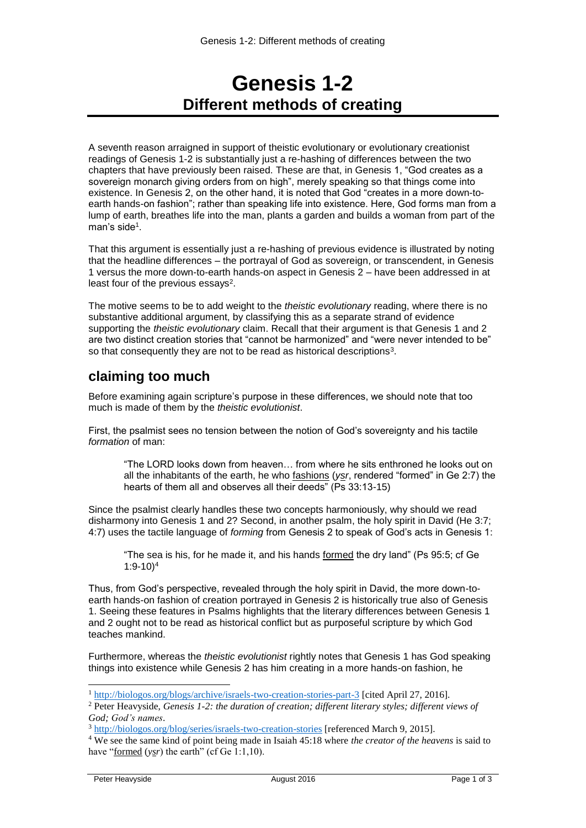# **Genesis 1-2 Different methods of creating**

A seventh reason arraigned in support of theistic evolutionary or evolutionary creationist readings of Genesis 1-2 is substantially just a re-hashing of differences between the two chapters that have previously been raised. These are that, in Genesis 1, "God creates as a sovereign monarch giving orders from on high", merely speaking so that things come into existence. In Genesis 2, on the other hand, it is noted that God "creates in a more down-toearth hands-on fashion"; rather than speaking life into existence. Here, God forms man from a lump of earth, breathes life into the man, plants a garden and builds a woman from part of the man's side<sup>1</sup>.

That this argument is essentially just a re-hashing of previous evidence is illustrated by noting that the headline differences – the portrayal of God as sovereign, or transcendent, in Genesis 1 versus the more down-to-earth hands-on aspect in Genesis 2 – have been addressed in at least four of the previous essays<sup>2</sup>.

The motive seems to be to add weight to the *theistic evolutionary* reading, where there is no substantive additional argument, by classifying this as a separate strand of evidence supporting the *theistic evolutionary* claim. Recall that their argument is that Genesis 1 and 2 are two distinct creation stories that "cannot be harmonized" and "were never intended to be" so that consequently they are not to be read as historical descriptions<sup>3</sup>.

## **claiming too much**

Before examining again scripture's purpose in these differences, we should note that too much is made of them by the *theistic evolutionist*.

First, the psalmist sees no tension between the notion of God's sovereignty and his tactile *formation* of man:

"The LORD looks down from heaven… from where he sits enthroned he looks out on all the inhabitants of the earth, he who fashions (*ysr*, rendered "formed" in Ge 2:7) the hearts of them all and observes all their deeds" (Ps 33:13-15)

Since the psalmist clearly handles these two concepts harmoniously, why should we read disharmony into Genesis 1 and 2? Second, in another psalm, the holy spirit in David (He 3:7; 4:7) uses the tactile language of *forming* from Genesis 2 to speak of God's acts in Genesis 1:

"The sea is his, for he made it, and his hands formed the dry land" (Ps 95:5; cf Ge 1:9-10)<sup>4</sup>

Thus, from God's perspective, revealed through the holy spirit in David, the more down-toearth hands-on fashion of creation portrayed in Genesis 2 is historically true also of Genesis 1. Seeing these features in Psalms highlights that the literary differences between Genesis 1 and 2 ought not to be read as historical conflict but as purposeful scripture by which God teaches mankind.

Furthermore, whereas the *theistic evolutionist* rightly notes that Genesis 1 has God speaking things into existence while Genesis 2 has him creating in a more hands-on fashion, he

1

<sup>1</sup> <http://biologos.org/blogs/archive/israels-two-creation-stories-part-3> [cited April 27, 2016].

<sup>2</sup> Peter Heavyside, *Genesis 1-2: the duration of creation; different literary styles; different views of God; God's names*.

<sup>3</sup> <http://biologos.org/blog/series/israels-two-creation-stories> [referenced March 9, 2015].

<sup>4</sup> We see the same kind of point being made in Isaiah 45:18 where *the creator of the heavens* is said to have "<u>formed</u> (*ysr*) the earth" (cf Ge 1:1,10).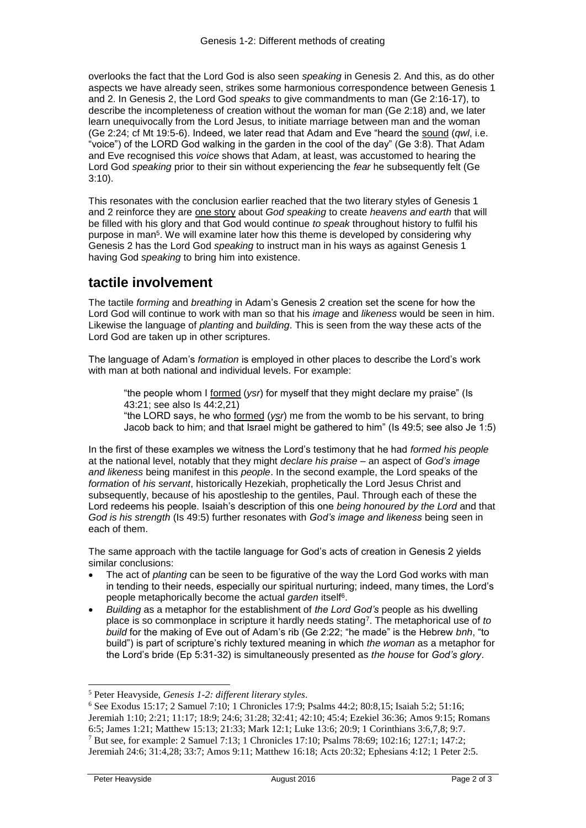overlooks the fact that the Lord God is also seen *speaking* in Genesis 2. And this, as do other aspects we have already seen, strikes some harmonious correspondence between Genesis 1 and 2. In Genesis 2, the Lord God *speaks* to give commandments to man (Ge 2:16-17), to describe the incompleteness of creation without the woman for man (Ge 2:18) and, we later learn unequivocally from the Lord Jesus, to initiate marriage between man and the woman (Ge 2:24; cf Mt 19:5-6). Indeed, we later read that Adam and Eve "heard the sound (*qwl*, i.e. "voice") of the LORD God walking in the garden in the cool of the day" (Ge 3:8). That Adam and Eve recognised this *voice* shows that Adam, at least, was accustomed to hearing the Lord God *speaking* prior to their sin without experiencing the *fear* he subsequently felt (Ge 3:10).

This resonates with the conclusion earlier reached that the two literary styles of Genesis 1 and 2 reinforce they are one story about *God speaking* to create *heavens and earth* that will be filled with his glory and that God would continue *to speak* throughout history to fulfil his purpose in man<sup>5</sup>. We will examine later how this theme is developed by considering why Genesis 2 has the Lord God *speaking* to instruct man in his ways as against Genesis 1 having God *speaking* to bring him into existence.

## **tactile involvement**

The tactile *forming* and *breathing* in Adam's Genesis 2 creation set the scene for how the Lord God will continue to work with man so that his *image* and *likeness* would be seen in him. Likewise the language of *planting* and *building*. This is seen from the way these acts of the Lord God are taken up in other scriptures.

The language of Adam's *formation* is employed in other places to describe the Lord's work with man at both national and individual levels. For example:

"the people whom I formed (*ysr*) for myself that they might declare my praise" (Is 43:21; see also Is 44:2,21)

"the LORD says, he who formed (*ysr*) me from the womb to be his servant, to bring Jacob back to him; and that Israel might be gathered to him" (Is 49:5; see also Je 1:5)

In the first of these examples we witness the Lord's testimony that he had *formed his people* at the national level, notably that they might *declare his praise* – an aspect of *God's image and likeness* being manifest in this *people*. In the second example, the Lord speaks of the *formation* of *his servant*, historically Hezekiah, prophetically the Lord Jesus Christ and subsequently, because of his apostleship to the gentiles, Paul. Through each of these the Lord redeems his people. Isaiah's description of this one *being honoured by the Lord* and that *God is his strength* (Is 49:5) further resonates with *God's image and likeness* being seen in each of them.

The same approach with the tactile language for God's acts of creation in Genesis 2 yields similar conclusions:

- The act of *planting* can be seen to be figurative of the way the Lord God works with man in tending to their needs, especially our spiritual nurturing; indeed, many times, the Lord's people metaphorically become the actual *garden* itself<sup>6</sup>.
- *Building* as a metaphor for the establishment of *the Lord God's* people as his dwelling place is so commonplace in scripture it hardly needs stating<sup>7</sup> . The metaphorical use of *to build* for the making of Eve out of Adam's rib (Ge 2:22; "he made" is the Hebrew *bnh*, "to build") is part of scripture's richly textured meaning in which *the woman* as a metaphor for the Lord's bride (Ep 5:31-32) is simultaneously presented as *the house* for *God's glory*.

1

<sup>5</sup> Peter Heavyside, *Genesis 1-2: different literary styles*.

<sup>6</sup> See Exodus 15:17; 2 Samuel 7:10; 1 Chronicles 17:9; Psalms 44:2; 80:8,15; Isaiah 5:2; 51:16; Jeremiah 1:10; 2:21; 11:17; 18:9; 24:6; 31:28; 32:41; 42:10; 45:4; Ezekiel 36:36; Amos 9:15; Romans 6:5; James 1:21; Matthew 15:13; 21:33; Mark 12:1; Luke 13:6; 20:9; 1 Corinthians 3:6,7,8; 9:7. <sup>7</sup> But see, for example: 2 Samuel 7:13; 1 Chronicles 17:10; Psalms 78:69; 102:16; 127:1; 147:2; Jeremiah 24:6; 31:4,28; 33:7; Amos 9:11; Matthew 16:18; Acts 20:32; Ephesians 4:12; 1 Peter 2:5.